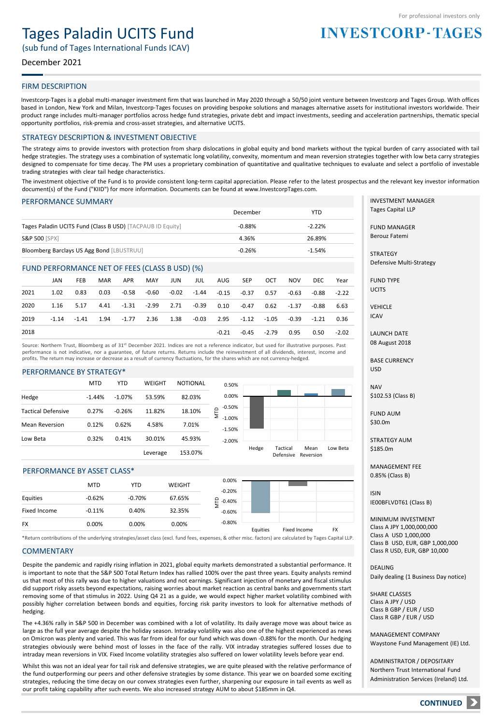# Tages Paladin UCITS Fund

(sub fund of Tages International Funds ICAV)

# December 2021

## FIRM DESCRIPTION

Investcorp-Tages is a global multi-manager investment firm that was launched in May 2020 through a 50/50 joint venture between Investcorp and Tages Group. With offices based in London, New York and Milan, Investcorp-Tages focuses on providing bespoke solutions and manages alternative assets for institutional investors worldwide. Their product range includes multi-manager portfolios across hedge fund strategies, private debt and impact investments, seeding and acceleration partnerships, thematic special opportunity portfolios, risk-premia and cross-asset strategies, and alternative UCITS.

#### STRATEGY DESCRIPTION & INVESTMENT OBJECTIVE

The strategy aims to provide investors with protection from sharp dislocations in global equity and bond markets without the typical burden of carry associated with tail hedge strategies. The strategy uses a combination of systematic long volatility, convexity, momentum and mean reversion strategies together with low beta carry strategies designed to compensate for time decay. The PM uses a proprietary combination of quantitative and qualitative techniques to evaluate and select a portfolio of investable trading strategies with clear tail hedge characteristics.

The investment objective of the Fund is to provide consistent long-term capital appreciation. Please refer to the latest prospectus and the relevant key investor information document(s) of the Fund ("KIID") for more information. Documents can be found at www.InvestcorpTages.com.

#### PERFORMANCE SUMMARY

|                                                            | December | <b>YTD</b> |
|------------------------------------------------------------|----------|------------|
| Tages Paladin UCITS Fund (Class B USD) [TACPAUB ID Equity] | $-0.88%$ | $-2.22%$   |
| <b>S&amp;P 500 [SPX]</b>                                   | 4.36%    | 26.89%     |
| Bloomberg Barclays US Agg Bond [LBUSTRUU]                  | $-0.26%$ | $-1.54%$   |

#### FUND PERFORMANCE NET OF FEES (CLASS B USD) (%)

|      | JAN     | <b>FEB</b> | MAR  | APR                                   | MAY | JUN | JUL   | AUG     | SEP                                     | OCT           | <b>NOV</b>                   | DEC.  | Year    |
|------|---------|------------|------|---------------------------------------|-----|-----|-------|---------|-----------------------------------------|---------------|------------------------------|-------|---------|
| 2021 | 1.02    | 0.83       | 0.03 | -0.58                                 |     |     |       |         | $-0.60$ $-0.02$ $-1.44$ $-0.15$ $-0.37$ | 0.57          | -0.63                        | -0.88 | $-2.22$ |
| 2020 | 1.16    | 5.17       | 4.41 | $-1.31$ $-2.99$ $2.71$ $-0.39$ $0.10$ |     |     |       |         | -0.47                                   | 0.62          | $-1.37$                      | -0.88 | 6.63    |
| 2019 | $-1.14$ | $-1.41$    | 1.94 |                                       |     |     | -0.03 |         |                                         |               | 2.95 -1.12 -1.05 -0.39 -1.21 |       | 0.36    |
| 2018 |         |            |      |                                       |     |     |       | $-0.21$ |                                         | $-0.45 -2.79$ | 0.95                         | 0.50  | $-2.02$ |

Source: Northern Trust, Bloomberg as of 31<sup>st</sup> December 2021. Indices are not a reference indicator, but used for illustrative purposes. Past performance is not indicative, nor a guarantee, of future returns. Returns include the reinvestment of all dividends, interest, income and profits. The return may increase or decrease as a result of currency fluctuations, for the shares which are not currency-hedged.

#### PERFORMANCE BY STRATEGY\*

| 82.03%<br>53.59%<br>$-1.44%$<br>$-1.07%$<br>Hedge<br>ÎМ<br><b>Tactical Defensive</b><br>0.27%<br>11.82%<br>18.10%<br>$-0.26%$<br>0.12%<br>0.62%<br>4.58%<br><b>Mean Reversion</b><br>7.01%<br>30.01%<br>0.32%<br>0.41%<br>45.93%<br>Low Beta |                      |  | H |
|----------------------------------------------------------------------------------------------------------------------------------------------------------------------------------------------------------------------------------------------|----------------------|--|---|
|                                                                                                                                                                                                                                              | $-2.00%$             |  |   |
|                                                                                                                                                                                                                                              | $-1.50%$             |  |   |
|                                                                                                                                                                                                                                              | $-0.50%$<br>$-1.00%$ |  |   |
|                                                                                                                                                                                                                                              | 0.00%                |  |   |
| <b>MTD</b><br>WEIGHT<br><b>NOTIONAL</b><br><b>YTD</b>                                                                                                                                                                                        | 0.50%                |  |   |



#### PERFORMANCE BY ASSET CLASS\*

|              | <b>MTD</b> | YTD      | <b>WEIGHT</b> | 0.00%<br>$-0.20%$ |          |              |           |
|--------------|------------|----------|---------------|-------------------|----------|--------------|-----------|
| Equities     | $-0.62%$   | $-0.70%$ | 67.65%        | ₽<br>$-0.40%$     |          |              |           |
| Fixed Income | $-0.11%$   | 0.40%    | 32.35%        | $-0.60%$          |          |              |           |
| <b>FX</b>    | 0.00%      | 0.00%    | 0.00%         | $-0.80%$          | Equities | Fixed Income | <b>FX</b> |

\*Return contributions of the underlying strategies/asset class (excl. fund fees, expenses, & other misc. factors) are calculated by Tages Capital LLP.

#### **COMMENTARY**

Despite the pandemic and rapidly rising inflation in 2021, global equity markets demonstrated a substantial performance. It is important to note that the S&P 500 Total Return Index has rallied 100% over the past three years. Equity analysts remind us that most of this rally was due to higher valuations and not earnings. Significant injection of monetary and fiscal stimulus did support risky assets beyond expectations, raising worries about market reaction as central banks and governments start removing some of that stimulus in 2022. Using Q4 21 as a guide, we would expect higher market volatility combined with possibly higher correlation between bonds and equities, forcing risk parity investors to look for alternative methods of hedging.

The +4.36% rally in S&P 500 in December was combined with a lot of volatility. Its daily average move was about twice as large as the full year average despite the holiday season. Intraday volatility was also one of the highest experienced as news on Omicron was plenty and varied. This was far from ideal for our fund which was down -0.88% for the month. Our hedging strategies obviously were behind most of losses in the face of the rally. VIX intraday strategies suffered losses due to intraday mean reversions in VIX. Fixed Income volatility strategies also suffered on lower volatility levels before year end.

Whilst this was not an ideal year for tail risk and defensive strategies, we are quite pleased with the relative performance of the fund outperforming our peers and other defensive strategies by some distance. This year we on boarded some exciting strategies, reducing the time decay on our convex strategies even further, sharpening our exposure in tail events as well as our profit taking capability after such events. We also increased strategy AUM to about \$185mm in Q4.

INVESTMENT MANAGER Tages Capital LLP

**INVESTCORP-TAGES** 

FUND MANAGER Berouz Fatemi

**STRATEGY** Defensive Multi-Strategy

FUND TYPE **UCITS** 

VEHICLE ICAV

LAUNCH DATE 08 August 2018

BASE CURRENCY USD

NAV \$102.53 (Class B)

FUND AUM \$30.0m

STRATEGY AUM \$185.0m

MANAGEMENT FEE 0.85% (Class B)

ISIN IE00BFLVDT61 (Class B)

MINIMUM INVESTMENT Class A JPY 1,000,000,000 Class A USD 1,000,000 Class B USD, EUR, GBP 1,000,000 Class R USD, EUR, GBP 10,000

DEALING Daily dealing (1 Business Day notice)

SHARE CLASSES Class A JPY / USD Class B GBP / EUR / USD Class R GBP / EUR / USD

MANAGEMENT COMPANY Waystone Fund Management (IE) Ltd.

ADMINISTRATOR / DEPOSITARY Northern Trust International Fund Administration Services (Ireland) Ltd.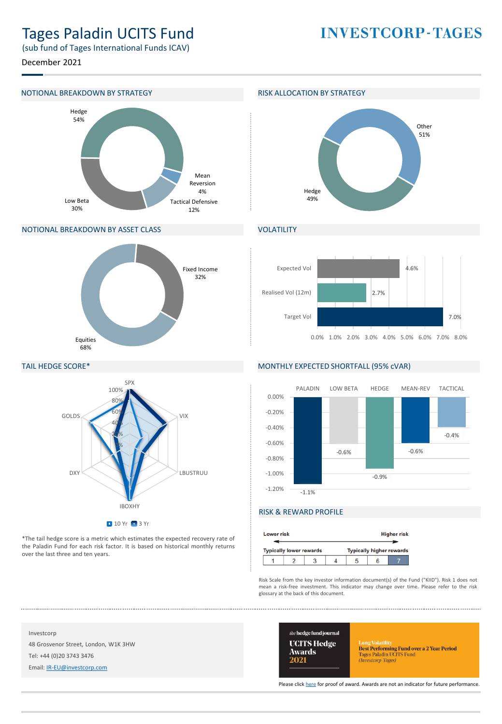# Tages Paladin UCITS Fund

**INVESTCORP-TAGES** 

(sub fund of Tages International Funds ICAV)

December 2021

### NOTIONAL BREAKDOWN BY STRATEGY **RISK ALLOCATION BY STRATEGY**



### NOTIONAL BREAKDOWN BY ASSET CLASS



# TAIL HEDGE SCORE\*



\*The tail hedge score is a metric which estimates the expected recovery rate of the Paladin Fund for each risk factor. It is based on historical monthly returns over the last three and ten years.



# VOLATILITY



#### MONTHLY EXPECTED SHORTFALL (95% cVAR)



# RISK & REWARD PROFILE

|  | <b>Higher risk</b><br><b>Lower risk</b> |  |  |  |  |                                 |  |  |
|--|-----------------------------------------|--|--|--|--|---------------------------------|--|--|
|  | <b>Typically lower rewards</b>          |  |  |  |  | <b>Typically higher rewards</b> |  |  |
|  |                                         |  |  |  |  |                                 |  |  |

Risk Scale from the key investor information document(s) of the Fund ("KIID"). Risk 1 does not mean a risk-free investment. This indicator may change over time. Please refer to the risk glossary at the back of this document.

Investcorp 48 Grosvenor Street, London, W1K 3HW Tel: +44 (0)20 3743 3476

Email: [IR-EU@investcorp.com](mailto:IR-EU@investcorp.com)



Long Volatilus<br> **Best Performing Fund over a 2 Year Period**<br>
Tages Paladin UCITS Fund<br> *(Investorp-Tages)* 

Please click [here](https://thehedgefundjournal.com/wp-content/uploads/2021/03/UCITS-Hedge-Awards-2021-Winners-List.pdf) for proof of award. Awards are not an indicator for future performance.